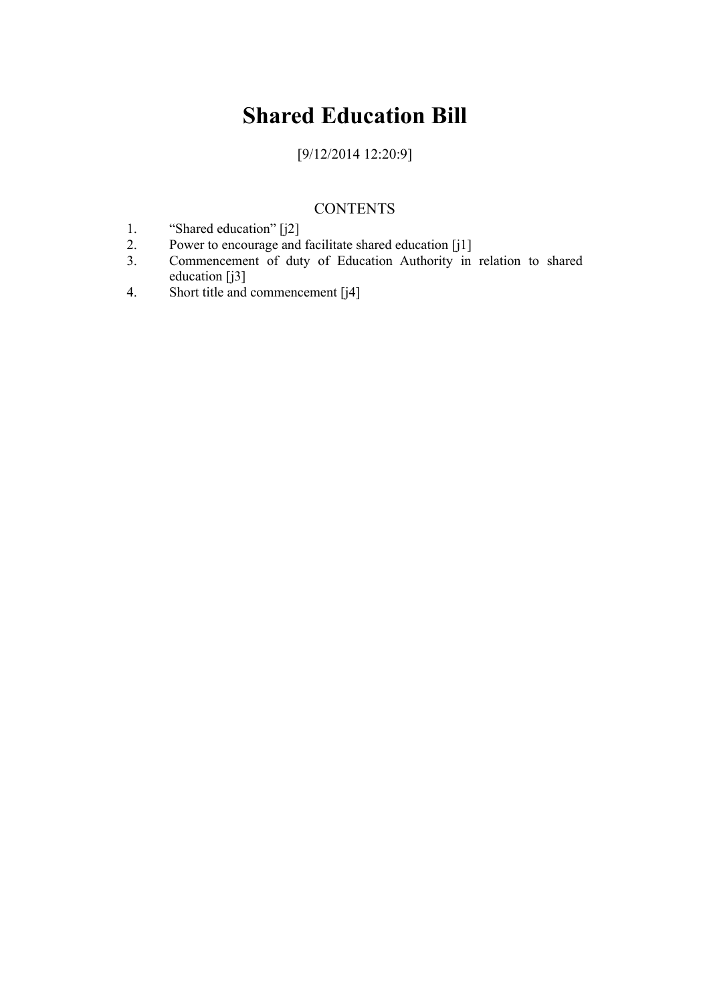# **Shared Education Bill**

[9/12/2014 12:20:9]

# **CONTENTS**

- 1. "Shared education" [j2]
- 2. Power to encourage and facilitate shared education [j1]
- 3. Commencement of duty of Education Authority in relation to shared education [j3]
- 4. Short title and commencement [j4]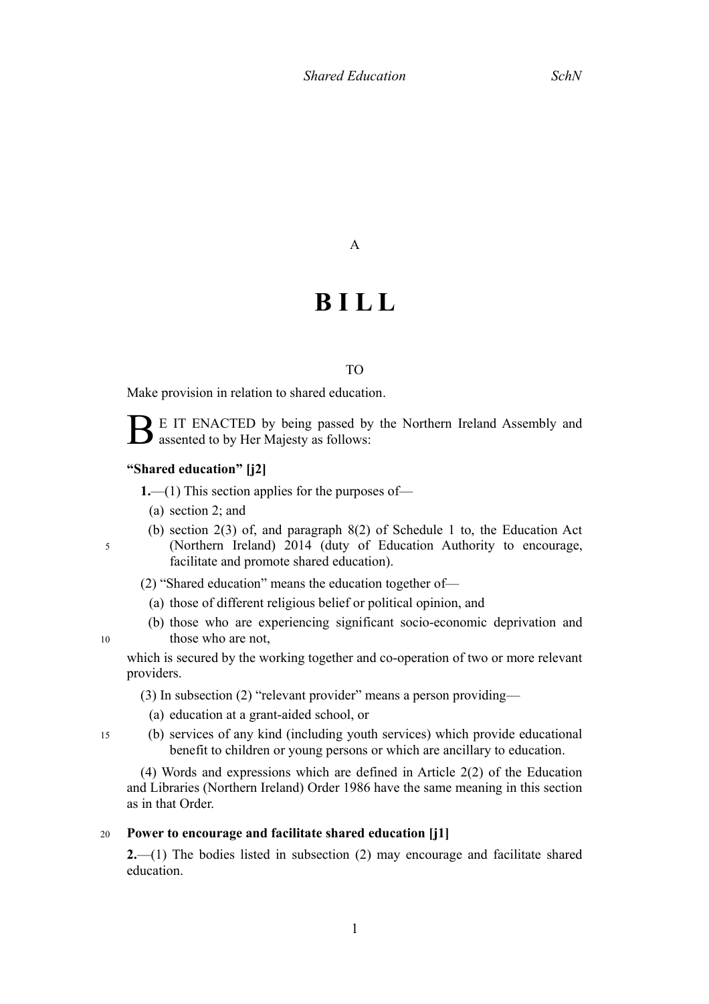## A

# **B I L L**

### TO

Make provision in relation to shared education.

B E IT ENACTED by being passed by the Northern Ireland Assembly and assented to by Her Majesty as follows:

#### **"Shared education" [j2]**

**1.**—(1) This section applies for the purposes of—

(a) section [2;](#page-2-0) and

 (b) section 2(3) of, and paragraph 8(2) of Schedule 1 to, the Education Act <sup>5</sup> � (Northern Ireland) 2014 (duty of Education Authority to encourage, facilitate and promote shared education).

(2) "Shared education" means the education together of—

- (a) those of different religious belief or political opinion, and
- (b) those who are experiencing significant socio-economic deprivation and 10 those who are not,

 which is secured by the working together and co-operation of two or more relevant providers.

(3) In subsection (2) "relevant provider" means a person providing—

- (a) education at a grant-aided school, or
- <sup>15</sup> � (b) services of any kind (including youth services) which provide educational benefit to children or young persons or which are ancillary to education.

 (4) Words and expressions which are defined in Article 2(2) of the Education and Libraries (Northern Ireland) Order 1986 have the same meaning in this section as in that Order.

### <sup>20</sup> � **Power to encourage and facilitate shared education [j1]**

<span id="page-2-0"></span> **2.**—(1) The bodies listed in subsection (2) may encourage and facilitate shared education.